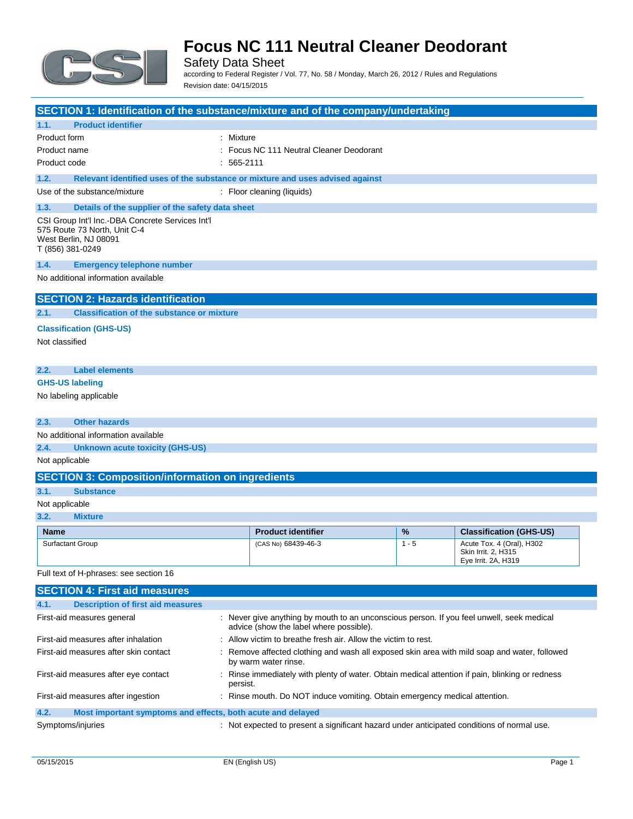

Safety Data Sheet according to Federal Register / Vol. 77, No. 58 / Monday, March 26, 2012 / Rules and Regulations Revision date: 04/15/2015

| SECTION 1: Identification of the substance/mixture and of the company/undertaking                                             |                                                                                                                                      |         |                                                                         |  |
|-------------------------------------------------------------------------------------------------------------------------------|--------------------------------------------------------------------------------------------------------------------------------------|---------|-------------------------------------------------------------------------|--|
| 1.1.<br><b>Product identifier</b>                                                                                             |                                                                                                                                      |         |                                                                         |  |
| Product form                                                                                                                  | : Mixture                                                                                                                            |         |                                                                         |  |
| Product name                                                                                                                  | : Focus NC 111 Neutral Cleaner Deodorant                                                                                             |         |                                                                         |  |
| Product code                                                                                                                  | $: 565-2111$                                                                                                                         |         |                                                                         |  |
| 1.2.                                                                                                                          | Relevant identified uses of the substance or mixture and uses advised against                                                        |         |                                                                         |  |
| Use of the substance/mixture                                                                                                  | : Floor cleaning (liquids)                                                                                                           |         |                                                                         |  |
| 1.3.<br>Details of the supplier of the safety data sheet                                                                      |                                                                                                                                      |         |                                                                         |  |
| CSI Group Int'l Inc.-DBA Concrete Services Int'l<br>575 Route 73 North, Unit C-4<br>West Berlin, NJ 08091<br>T (856) 381-0249 |                                                                                                                                      |         |                                                                         |  |
| 1.4.<br><b>Emergency telephone number</b>                                                                                     |                                                                                                                                      |         |                                                                         |  |
| No additional information available                                                                                           |                                                                                                                                      |         |                                                                         |  |
| <b>SECTION 2: Hazards identification</b>                                                                                      |                                                                                                                                      |         |                                                                         |  |
| 2.1.<br><b>Classification of the substance or mixture</b>                                                                     |                                                                                                                                      |         |                                                                         |  |
| <b>Classification (GHS-US)</b>                                                                                                |                                                                                                                                      |         |                                                                         |  |
| Not classified                                                                                                                |                                                                                                                                      |         |                                                                         |  |
|                                                                                                                               |                                                                                                                                      |         |                                                                         |  |
| <b>Label elements</b><br>2.2.                                                                                                 |                                                                                                                                      |         |                                                                         |  |
| <b>GHS-US labeling</b>                                                                                                        |                                                                                                                                      |         |                                                                         |  |
| No labeling applicable                                                                                                        |                                                                                                                                      |         |                                                                         |  |
| <b>Other hazards</b><br>2.3.                                                                                                  |                                                                                                                                      |         |                                                                         |  |
| No additional information available                                                                                           |                                                                                                                                      |         |                                                                         |  |
| 2.4.<br><b>Unknown acute toxicity (GHS-US)</b>                                                                                |                                                                                                                                      |         |                                                                         |  |
| Not applicable                                                                                                                |                                                                                                                                      |         |                                                                         |  |
| <b>SECTION 3: Composition/information on ingredients</b>                                                                      |                                                                                                                                      |         |                                                                         |  |
| 3.1.<br><b>Substance</b>                                                                                                      |                                                                                                                                      |         |                                                                         |  |
| Not applicable                                                                                                                |                                                                                                                                      |         |                                                                         |  |
| 3.2.<br><b>Mixture</b>                                                                                                        |                                                                                                                                      |         |                                                                         |  |
| <b>Name</b>                                                                                                                   | <b>Product identifier</b>                                                                                                            | %       | <b>Classification (GHS-US)</b>                                          |  |
| Surfactant Group                                                                                                              | (CAS No) 68439-46-3                                                                                                                  | $1 - 5$ | Acute Tox. 4 (Oral), H302<br>Skin Irrit. 2, H315<br>Eye Irrit. 2A, H319 |  |
| Full text of H-phrases: see section 16                                                                                        |                                                                                                                                      |         |                                                                         |  |
| <b>SECTION 4: First aid measures</b>                                                                                          |                                                                                                                                      |         |                                                                         |  |
| <b>Description of first aid measures</b><br>4.1.                                                                              |                                                                                                                                      |         |                                                                         |  |
| First-aid measures general                                                                                                    | : Never give anything by mouth to an unconscious person. If you feel unwell, seek medical<br>advice (show the label where possible). |         |                                                                         |  |
| First-aid measures after inhalation                                                                                           | : Allow victim to breathe fresh air. Allow the victim to rest.                                                                       |         |                                                                         |  |
| First-aid measures after skin contact                                                                                         | : Remove affected clothing and wash all exposed skin area with mild soap and water, followed<br>by warm water rinse.                 |         |                                                                         |  |
| First-aid measures after eye contact                                                                                          | : Rinse immediately with plenty of water. Obtain medical attention if pain, blinking or redness<br>persist.                          |         |                                                                         |  |

First-aid measures after ingestion : Rinse mouth. Do NOT induce vomiting. Obtain emergency medical attention.

### **4.2. Most important symptoms and effects, both acute and delayed**

Symptoms/injuries **interpretent in the symptoms** of the symptoms/injuries in the symptoms/injuries of normal use.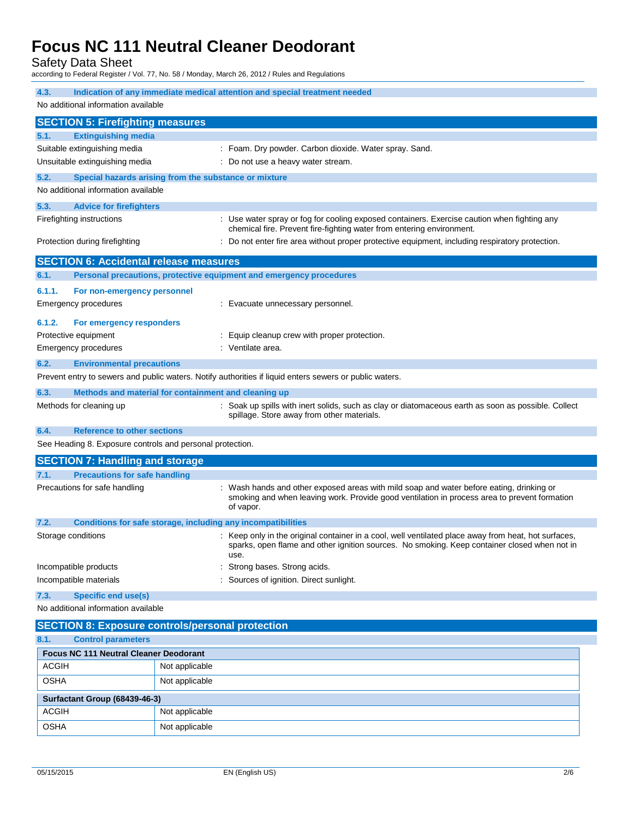Safety Data Sheet

according to Federal Register / Vol. 77, No. 58 / Monday, March 26, 2012 / Rules and Regulations

| 4.3.                                                                                                                                                                                                                                   | Indication of any immediate medical attention and special treatment needed                                                      |                |                                                                                                                                                                      |
|----------------------------------------------------------------------------------------------------------------------------------------------------------------------------------------------------------------------------------------|---------------------------------------------------------------------------------------------------------------------------------|----------------|----------------------------------------------------------------------------------------------------------------------------------------------------------------------|
| No additional information available                                                                                                                                                                                                    |                                                                                                                                 |                |                                                                                                                                                                      |
|                                                                                                                                                                                                                                        | <b>SECTION 5: Firefighting measures</b>                                                                                         |                |                                                                                                                                                                      |
| 5.1.                                                                                                                                                                                                                                   | <b>Extinguishing media</b>                                                                                                      |                |                                                                                                                                                                      |
|                                                                                                                                                                                                                                        | Suitable extinguishing media                                                                                                    |                | : Foam. Dry powder. Carbon dioxide. Water spray. Sand.                                                                                                               |
|                                                                                                                                                                                                                                        | Unsuitable extinguishing media                                                                                                  |                | Do not use a heavy water stream.                                                                                                                                     |
| 5.2.                                                                                                                                                                                                                                   | Special hazards arising from the substance or mixture                                                                           |                |                                                                                                                                                                      |
|                                                                                                                                                                                                                                        | No additional information available                                                                                             |                |                                                                                                                                                                      |
| 5.3.                                                                                                                                                                                                                                   | <b>Advice for firefighters</b>                                                                                                  |                |                                                                                                                                                                      |
|                                                                                                                                                                                                                                        | Firefighting instructions                                                                                                       |                | : Use water spray or fog for cooling exposed containers. Exercise caution when fighting any<br>chemical fire. Prevent fire-fighting water from entering environment. |
|                                                                                                                                                                                                                                        | Do not enter fire area without proper protective equipment, including respiratory protection.<br>Protection during firefighting |                |                                                                                                                                                                      |
|                                                                                                                                                                                                                                        | <b>SECTION 6: Accidental release measures</b>                                                                                   |                |                                                                                                                                                                      |
| 6.1.                                                                                                                                                                                                                                   |                                                                                                                                 |                | Personal precautions, protective equipment and emergency procedures                                                                                                  |
| 6.1.1.                                                                                                                                                                                                                                 | For non-emergency personnel                                                                                                     |                |                                                                                                                                                                      |
|                                                                                                                                                                                                                                        | Emergency procedures                                                                                                            |                | : Evacuate unnecessary personnel.                                                                                                                                    |
| 6.1.2.                                                                                                                                                                                                                                 | For emergency responders                                                                                                        |                |                                                                                                                                                                      |
|                                                                                                                                                                                                                                        | Protective equipment                                                                                                            |                | Equip cleanup crew with proper protection.                                                                                                                           |
|                                                                                                                                                                                                                                        | Emergency procedures                                                                                                            |                | : Ventilate area.                                                                                                                                                    |
| 6.2.                                                                                                                                                                                                                                   | <b>Environmental precautions</b>                                                                                                |                |                                                                                                                                                                      |
|                                                                                                                                                                                                                                        |                                                                                                                                 |                | Prevent entry to sewers and public waters. Notify authorities if liquid enters sewers or public waters.                                                              |
| Methods and material for containment and cleaning up                                                                                                                                                                                   |                                                                                                                                 |                |                                                                                                                                                                      |
| 6.3.                                                                                                                                                                                                                                   |                                                                                                                                 |                |                                                                                                                                                                      |
|                                                                                                                                                                                                                                        | Methods for cleaning up                                                                                                         |                | : Soak up spills with inert solids, such as clay or diatomaceous earth as soon as possible. Collect<br>spillage. Store away from other materials.                    |
| 6.4.<br><b>Reference to other sections</b>                                                                                                                                                                                             |                                                                                                                                 |                |                                                                                                                                                                      |
| See Heading 8. Exposure controls and personal protection.                                                                                                                                                                              |                                                                                                                                 |                |                                                                                                                                                                      |
| <b>SECTION 7: Handling and storage</b>                                                                                                                                                                                                 |                                                                                                                                 |                |                                                                                                                                                                      |
| 7.1.                                                                                                                                                                                                                                   | <b>Precautions for safe handling</b>                                                                                            |                |                                                                                                                                                                      |
| Precautions for safe handling<br>: Wash hands and other exposed areas with mild soap and water before eating, drinking or<br>smoking and when leaving work. Provide good ventilation in process area to prevent formation<br>of vapor. |                                                                                                                                 |                |                                                                                                                                                                      |
| 7.2.                                                                                                                                                                                                                                   | Conditions for safe storage, including any incompatibilities                                                                    |                |                                                                                                                                                                      |
| Storage conditions<br>: Keep only in the original container in a cool, well ventilated place away from heat, hot surfaces,<br>sparks, open flame and other ignition sources. No smoking. Keep container closed when not in<br>use.     |                                                                                                                                 |                |                                                                                                                                                                      |
|                                                                                                                                                                                                                                        | Incompatible products<br>Strong bases. Strong acids.                                                                            |                |                                                                                                                                                                      |
| Incompatible materials<br>Sources of ignition. Direct sunlight.                                                                                                                                                                        |                                                                                                                                 |                |                                                                                                                                                                      |
| <b>Specific end use(s)</b><br>7.3.                                                                                                                                                                                                     |                                                                                                                                 |                |                                                                                                                                                                      |
| No additional information available                                                                                                                                                                                                    |                                                                                                                                 |                |                                                                                                                                                                      |
|                                                                                                                                                                                                                                        | <b>SECTION 8: Exposure controls/personal protection</b>                                                                         |                |                                                                                                                                                                      |
| <b>Control parameters</b><br>8.1.                                                                                                                                                                                                      |                                                                                                                                 |                |                                                                                                                                                                      |
| <b>Focus NC 111 Neutral Cleaner Deodorant</b>                                                                                                                                                                                          |                                                                                                                                 |                |                                                                                                                                                                      |
| <b>ACGIH</b>                                                                                                                                                                                                                           |                                                                                                                                 | Not applicable |                                                                                                                                                                      |
| <b>OSHA</b>                                                                                                                                                                                                                            |                                                                                                                                 | Not applicable |                                                                                                                                                                      |
|                                                                                                                                                                                                                                        | Surfactant Group (68439-46-3)                                                                                                   |                |                                                                                                                                                                      |
| <b>ACGIH</b>                                                                                                                                                                                                                           |                                                                                                                                 | Not applicable |                                                                                                                                                                      |

OSHA Not applicable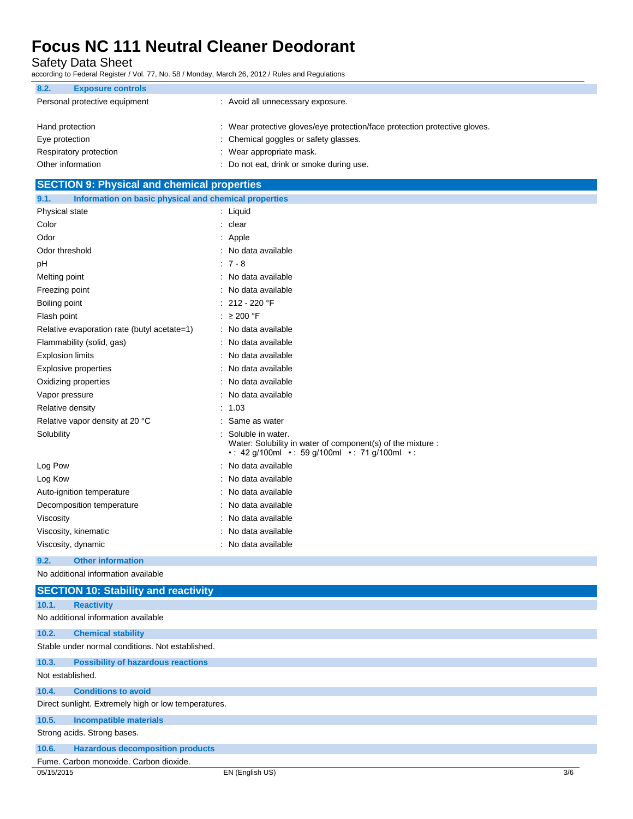Safety Data Sheet

according to Federal Register / Vol. 77, No. 58 / Monday, March 26, 2012 / Rules and Regulations

| 8.2.            | <b>Exposure controls</b>      |                                                                            |
|-----------------|-------------------------------|----------------------------------------------------------------------------|
|                 | Personal protective equipment | : Avoid all unnecessary exposure.                                          |
|                 |                               |                                                                            |
| Hand protection |                               | : Wear protective gloves/eye protection/face protection protective gloves. |
| Eye protection  |                               | : Chemical goggles or safety glasses.                                      |
|                 | Respiratory protection        | : Wear appropriate mask.                                                   |
|                 | Other information             | : Do not eat, drink or smoke during use.                                   |

### **SECTION 9: Physical and chemical properties 9.1. Information on basic physical and chemical properties** Physical state : Liquid Color : clear Odor : Apple Odor threshold is a set of the state of the state of the state of the state of the state of the state of the state of the state of the state of the state of the state of the state of the state of the state of the state of pH : 7 - 8 Melting point **in the case of the case of the case of the case of the case of the case of the case of the case of the case of the case of the case of the case of the case of the case of the case of the case of the case of** Freezing point **in the case of the Contract Contract Contract Contract Contract Contract Contract Contract Contract Contract Contract Contract Contract Contract Contract Contract Contract Contract Contract Contract Contrac** Boiling point : 212 - 220 °F Flash point  $\geq 200$  °F Relative evaporation rate (butyl acetate=1) : No data available Flammability (solid, gas) : No data available Explosion limits **Explosion** limits **in the set of the set of the set of the set of the set of the set of the set of the set of the set of the set of the set of the set of the set of the set of the set of the set of the se** Explosive properties in the set of the set of the set of the set of the set of the set of the set of the set of the set of the set of the set of the set of the set of the set of the set of the set of the set of the set of Oxidizing properties **in the contract of the Contract August** 2011 : No data available Vapor pressure in the set of the set of the set of the Vapor pressure in the set of the set of the Vapor set o Relative density in the set of the set of the set of the set of the set of the set of the set of the set of the set of the set of the set of the set of the set of the set of the set of the set of the set of the set of the Relative vapor density at 20 °C : Same as water Solubility : Solubile in water. Water: Solubility in water of component(s) of the mixture : • : 42 g/100ml • : 59 g/100ml • : 71 g/100ml • : Log Pow  $\qquad \qquad$ : No data available Log Kow : No data available Auto-ignition temperature **interest and the Contract Contract Auto-ignition** contract available Decomposition temperature **interest and the Composition temperature** : No data available Viscosity **in the COVID-2008** Viscosity **: No data available** Viscosity, kinematic intervalsed a state of the No data available Viscosity, dynamic **intervalse in the Contract of Contract Available** : No data available **9.2. Other information** No additional information available **SECTION 10: Stability and reactivity 10.1. Reactivity** No additional information available **10.2. Chemical stability** Stable under normal conditions. Not established. **10.3. Possibility of hazardous reactions** Not established. **10.4. Conditions to avoid** Direct sunlight. Extremely high or low temperatures. **10.5. Incompatible materials** Strong acids. Strong bases.

**10.6. Hazardous decomposition products**

Fume. Carbon monoxide. Carbon dioxide.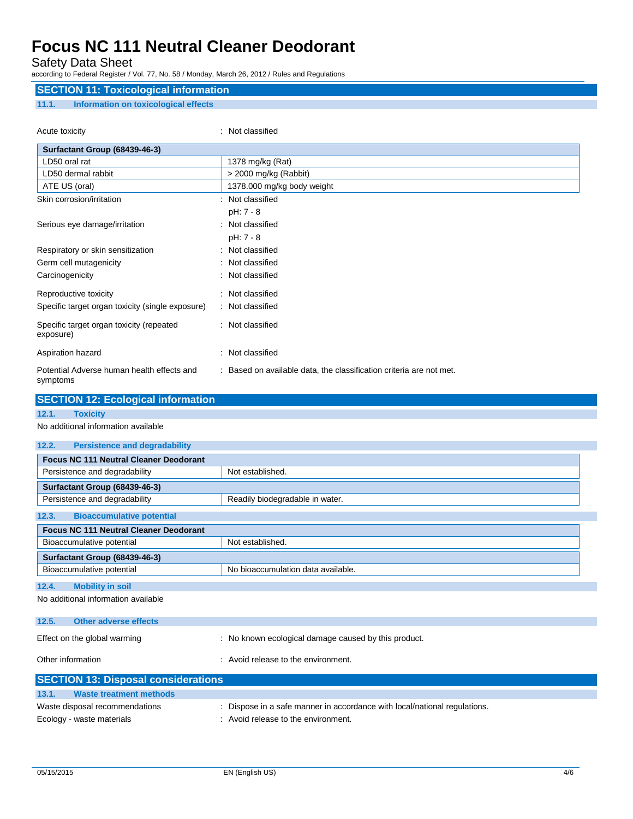### Safety Data Sheet

according to Federal Register / Vol. 77, No. 58 / Monday, March 26, 2012 / Rules and Regulations

### **SECTION 11: Toxicological information 11.1. Information on toxicological effects**

| Acute toxicity                                         | : Not classified                                                    |
|--------------------------------------------------------|---------------------------------------------------------------------|
| Surfactant Group (68439-46-3)                          |                                                                     |
| LD50 oral rat                                          | 1378 mg/kg (Rat)                                                    |
| LD50 dermal rabbit                                     | > 2000 mg/kg (Rabbit)                                               |
| ATE US (oral)                                          | 1378.000 mg/kg body weight                                          |
| Skin corrosion/irritation                              | : Not classified                                                    |
|                                                        | pH: 7 - 8                                                           |
| Serious eye damage/irritation                          | : Not classified                                                    |
|                                                        | pH: 7 - 8                                                           |
| Respiratory or skin sensitization                      | : Not classified                                                    |
| Germ cell mutagenicity                                 | : Not classified                                                    |
| Carcinogenicity                                        | : Not classified                                                    |
| Reproductive toxicity                                  | : Not classified                                                    |
| Specific target organ toxicity (single exposure)       | : Not classified                                                    |
| Specific target organ toxicity (repeated<br>exposure)  | : Not classified                                                    |
| Aspiration hazard                                      | : Not classified                                                    |
| Potential Adverse human health effects and<br>symptoms | : Based on available data, the classification criteria are not met. |

| <b>SECTION 12: Ecological information</b>     |                                                      |
|-----------------------------------------------|------------------------------------------------------|
| 12.1.<br><b>Toxicity</b>                      |                                                      |
| No additional information available           |                                                      |
| 12.2.<br><b>Persistence and degradability</b> |                                                      |
| <b>Focus NC 111 Neutral Cleaner Deodorant</b> |                                                      |
| Persistence and degradability                 | Not established.                                     |
| Surfactant Group (68439-46-3)                 |                                                      |
| Persistence and degradability                 | Readily biodegradable in water.                      |
| <b>Bioaccumulative potential</b><br>12.3.     |                                                      |
| <b>Focus NC 111 Neutral Cleaner Deodorant</b> |                                                      |
| Bioaccumulative potential                     | Not established.                                     |
| Surfactant Group (68439-46-3)                 |                                                      |
| Bioaccumulative potential                     | No bioaccumulation data available.                   |
| <b>Mobility in soil</b><br>12.4.              |                                                      |
| No additional information available           |                                                      |
| 12.5.<br>Other adverse effects                |                                                      |
| Effect on the global warming                  | : No known ecological damage caused by this product. |
| Other information                             | : Avoid release to the environment.                  |
| <b>SECTION 13: Disposal considerations</b>    |                                                      |
| 13.1.<br><b>Waste treatment methods</b>       |                                                      |

| . <b>.</b><br>waste treatment methods |                                                                           |
|---------------------------------------|---------------------------------------------------------------------------|
| Waste disposal recommendations        | : Dispose in a safe manner in accordance with local/national regulations. |
| Ecology - waste materials             | Avoid release to the environment.                                         |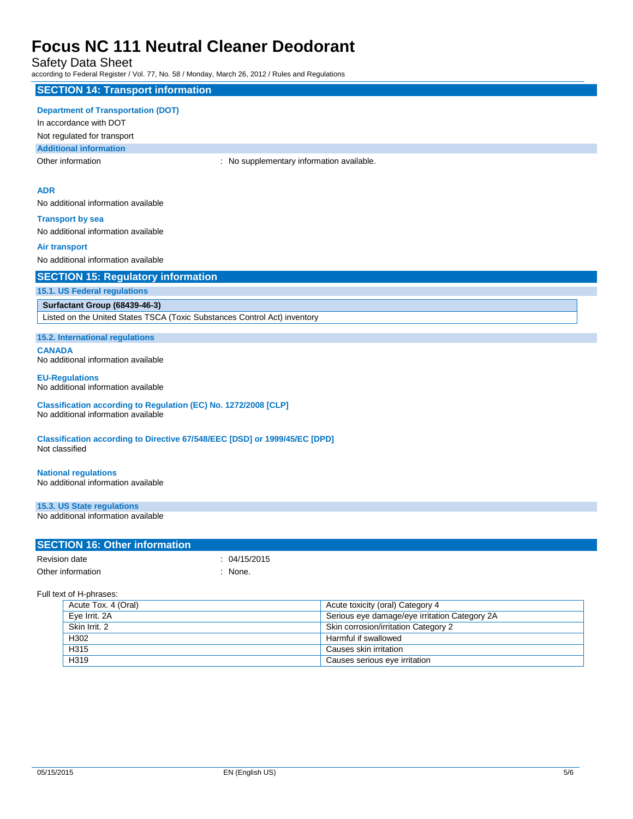Safety Data Sheet

according to Federal Register / Vol. 77, No. 58 / Monday, March 26, 2012 / Rules and Regulations

### **SECTION 14: Transport information**

#### **Department of Transportation (DOT)**

In accordance with DOT

Not regulated for transport

**Additional information**

Other information **Channel Constant Channel Channel Channel Channel Channel Channel Channel Channel Channel Channel Channel Channel Channel Channel Channel Channel Channel Channel Channel Channel Channel Channel Channel Ch** 

#### **ADR**

No additional information available

**Transport by sea** No additional information available

#### **Air transport**

No additional information available

|  |  |  |  |  | <b>SECTION 15: Regulatory information</b> |
|--|--|--|--|--|-------------------------------------------|
|--|--|--|--|--|-------------------------------------------|

**15.1. US Federal regulations**

### **Surfactant Group (68439-46-3)**

Listed on the United States TSCA (Toxic Substances Control Act) inventory

**15.2. International regulations**

**CANADA** No additional information available

#### **EU-Regulations** No additional information available

**Classification according to Regulation (EC) No. 1272/2008 [CLP]** No additional information available

**Classification according to Directive 67/548/EEC [DSD] or 1999/45/EC [DPD]** Not classified

### **National regulations**

No additional information available

**15.3. US State regulations**

No additional information available

#### **SECTION 16: Other information**

| Revision date     | : 04/15/2015 |
|-------------------|--------------|
| Other information | : None.      |

Full text of H-phrases:

| Acute Tox. 4 (Oral) | Acute toxicity (oral) Category 4              |
|---------------------|-----------------------------------------------|
| Eye Irrit. 2A       | Serious eye damage/eye irritation Category 2A |
| Skin Irrit, 2       | Skin corrosion/irritation Category 2          |
| H302                | Harmful if swallowed                          |
| H315                | Causes skin irritation                        |
| H319                | Causes serious eye irritation                 |